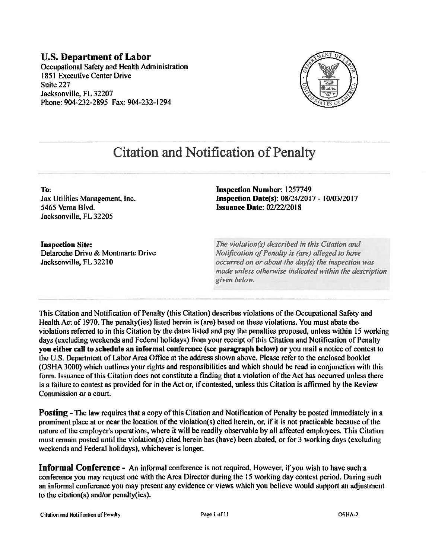#### **U.S. Department of Labor** Occupational Safety and Health Administration 1851 Executive Center Drive Suite 227 Jacksonville, FL 32207 Phone: 904-232-2895 Fax: 904-232-1294



# **Citation and Notification of Penalty**

To: Jax Utilities Management, Inc. 5465 Verna Blvd. Jacksonville, FL 32205

**Inspection Number: 1257749** Inspection Date(s): 08/24/2017 - 10/03/2017 **Issuance Date: 02/22/2018** 

**Inspection Site:** Delaroche Drive & Montmarte Drive Jacksonville, FL 32210

The violation(s) described in this Citation and Notification of Penalty is (are) alleged to have occurred on or about the day(s) the inspection was made unless otherwise indicated within the description given below.

This Citation and Notification of Penalty (this Citation) describes violations of the Occupational Safety and Health Act of 1970. The penalty (ies) listed herein is (are) based on these violations. You must abate the violations referred to in this Citation by the dates listed and pay the penalties proposed, unless within 15 working days (excluding weekends and Federal holidays) from your receipt of this Citation and Notification of Penalty you either call to schedule an informal conference (see paragraph below) or you mail a notice of contest to the U.S. Department of Labor Area Office at the address shown above. Please refer to the enclosed booklet (OSHA 3000) which outlines your rights and responsibilities and which should be read in conjunction with this form, Issuance of this Citation does not constitute a finding that a violation of the Act has occurred unless there is a failure to contest as provided for in the Act or, if contested, unless this Citation is affirmed by the Review Commission or a court.

**Posting** – The law requires that a copy of this Citation and Notification of Penalty be posted immediately in a prominent place at or near the location of the violation(s) cited herein, or, if it is not practicable because of the nature of the employer's operations, where it will be readily observable by all affected employees. This Citation must remain posted until the violation(s) cited herein has (have) been abated, or for 3 working days (excluding weekends and Federal holidays), whichever is longer.

**Informal Conference** - An informal conference is not required. However, if you wish to have such a conference you may request one with the Area Director during the 15 working day contest period. During such an informal conference you may present any evidence or views which you believe would support an adjustment to the citation(s) and/or penalty(ies).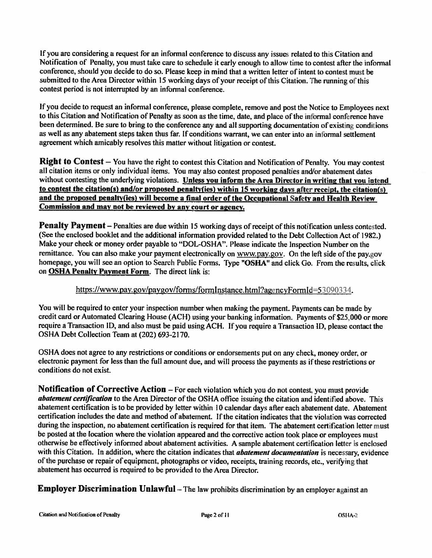If you are considering a request for an informal conference to discuss any issues related to this Citation and Notification of Penalty, you must take care to schedule it early enough to allow time to contest after the informal conference, should you decide to do so. Please keep in mind that a written letter of intent to contest must be submitted to the Area Director within 15 working days of your receipt of this Citation. The running of this contest period is not interrupted by an informal conference.

If you decide to request an informal conference, please complete, remove and post the Notice to Employees next to this Citation and Notification of Penalty as soon as the time, date, and place of the informal conference have been determined. Be sure to bring to the conference any and all supporting documentation of existing conditions as well as any abatement steps taken thus far. If conditions warrant, we can enter into an informal settlement agreemen<sup>t</sup> which amicably resolves this matter without litigation or contest.

Right to Contest — You have the right to contest this Citation and Notification of Penalty. You may contest all citation items or only individual items. You nay also contest propose<sup>d</sup> penalties and/or abatement dates without contesting the underlying violations. Unless you inform the Area Director in writing that you intend to contest the citation(s) and/or propose<sup>d</sup> penalty(ies) within <sup>15</sup> working days after receipt, the citation(s) and the propose<sup>d</sup> penalty(ies) will become <sup>a</sup> final order of the Occupational Safety and Health Review Commission and may not be reviewed by any court or agency.

Penalty Payment — Penalties are due within <sup>15</sup> working days of receipt of this notification unless contested. (See the enclosed booklet and the additional information provided related to the Debt Collection Act of 1982.) Make your check or money order payable to "DOL-OSHA". Please indicate the Inspection Number on the remittance. You can also make your payment electronically on www.pay.gov. On the left side of the pay.gov homepage, you will see an option to Search Public Forms. Type "OSHA" and click Go. From the results, click on OSHA Penalty Payment Form. The direct link is:

#### https://www.pay.gov/paygov/forms/formInstance.html?agencyFormId=53090334.

You will be required to enter your inspection number when making the payment. Payments can be made by credit card or Automated Clearing House (ACH) using your banking information. Payments of \$25,000 or more require a Transaction ID, and also must be paid using ACH. If you require a Transaction ID, please contact the OSHA Debt Collection Team at (202) 693-2170.

OSHA does not agree to any restrictions or conditions or endorsements put on any check, money order, or electronic payment for less than the full amount due, and will process the payments as if these restrictions or conditions do not exist.

Notification of Corrective Action — For each violation which you do not contest, you must provide abatement certification to the Area Director of the OSHA office issuing the citation and identified above. This abatement certification is to be provided by letter within 10 calendar days after each abatement date. Abatement certification includes the date and method of abatement. If the citation indicates that the violation was corrected during the inspection, no abatement certification is required for that item. The abatement certification letter must be posted at the location where the violation appeared and the corrective action took place or employees must otherwise be effectively informed about abatement activities. A sample abatement certification letter is enclosed with this Citation. In addition, where the citation indicates that *abatement documentation* is necessary, evidence of the purchase or repair of equipment, photographs or video, receipts, training records, etc., verifying that abatement has occurred is required to be provided to the Area Director.

Employer Discrimination Unlawful - The law prohibits discrimination by an employer against an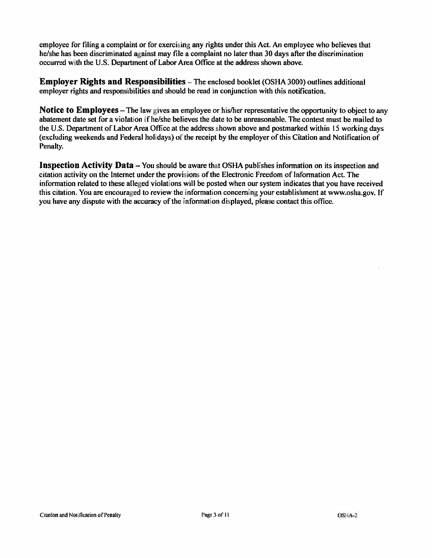employee for filing a complaint or for exercising any rights under this Act. An employee who believes that he/she has been discriminated against may file a complaint no later than 30 days after the discrimination occurred with the U.S. Department of Labor Area Office at the address shown above.

**Employer Rights and Responsibilities** – The enclosed booklet (OSHA 3000) outlines additional employer rights and responsibilities and should be read in conjunction with this notification.

**Notice to Employees** – The law gives an employee or his/her representative the opportunity to object to any abatement date set for a violation if he/she believes the date to be unreasonable. The contest must be mailed to the U.S. Department of Labor Area Office at the address shown above and postmarked within 15 working days (excluding weekends and Federal holidays) of the receipt by the employer of this Citation and Notification of Penalty.

**Inspection Activity Data** – You should be aware that OSHA publishes information on its inspection and citation activity on the Internet under the provisions of the Electronic Freedom of Information Act. The information related to these alleged violations will be posted when our system indicates that you have received this citation. You are encouraged to review the information concerning your establishment at www.osha.gov. If you have any dispute with the accuracy of the information displayed, please contact this office.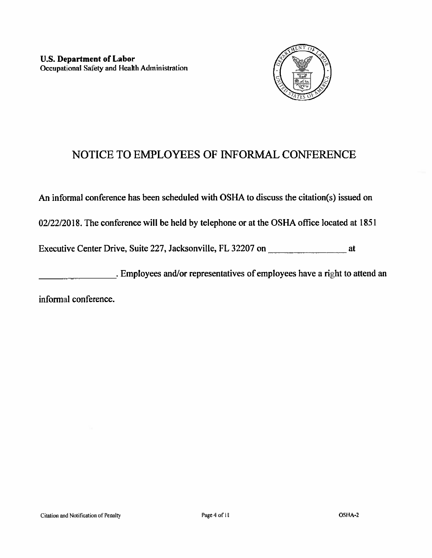

# NOTICE TO EMPLOYEES OF INFORMAL CONFERENCE

An informal conference has been scheduled with OSHA to discuss the citation(s) issued on

02/22/2018. The conference will be held by telephone or at the OSHA office located at 1851

Executive Center Drive, Suite 227, Jacksonville, FL 32207 on at

. Employees and/or representatives of employees have a right to attend an

informal conference.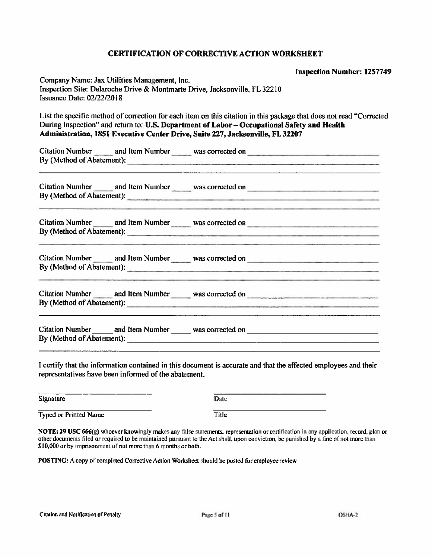#### **CERTIFICATION OF CORRECTIVE ACTION WORKSHEET**

|                                                                                                                                                                                                                                                                                                      | <b>Inspection Number: 1257749</b>                                                                                    |
|------------------------------------------------------------------------------------------------------------------------------------------------------------------------------------------------------------------------------------------------------------------------------------------------------|----------------------------------------------------------------------------------------------------------------------|
| Company Name: Jax Utilities Management, Inc.<br>Inspection Site: Delaroche Drive & Montmarte Drive, Jacksonville, FL 32210<br><b>Issuance Date: 02/22/2018</b>                                                                                                                                       |                                                                                                                      |
| List the specific method of correction for each item on this citation in this package that does not read "Corrected<br>During Inspection" and return to: U.S. Department of Labor - Occupational Safety and Health<br>Administration, 1851 Executive Center Drive, Suite 227, Jacksonville, FL 32207 |                                                                                                                      |
| Citation Number and Item Number was corrected on _______________________________                                                                                                                                                                                                                     |                                                                                                                      |
|                                                                                                                                                                                                                                                                                                      | The Constitution of the Constitution of the Constitution of the Constitution of the Constitution of the Constitution |
|                                                                                                                                                                                                                                                                                                      | and the contract of the contract of the contract of the contract of the contract of the contract of                  |
| Citation Number en and Item Number was corrected on<br>By (Method of Abatement): expression and the contract of the set of the set of the set of the set of the set of the set of the set of the set of the set of the set of the set of the set of the set of the set of the set of                 | <u> 1980 - Jan James James James James James James James James James James James James James James James James J</u> |
|                                                                                                                                                                                                                                                                                                      |                                                                                                                      |
|                                                                                                                                                                                                                                                                                                      |                                                                                                                      |

I certify that the information contained in this document is accurate and that the affected employees and their representatives have been informed of the abatement.

| Signature             | Date  |
|-----------------------|-------|
| Typed or Printed Name | Title |

NOTE: 29 USC 666(g) whoever knowingly makes any false statements, representation or certification in any application, record, plan or other documents filed or required to be maintained pursuant to the Act shall, upon conviction, be punished by a fine of not more than \$10,000 or by imprisonment of not more than 6 months or both.

POSTING: A copy of completed Corrective Action Worksheet should be posted for employee review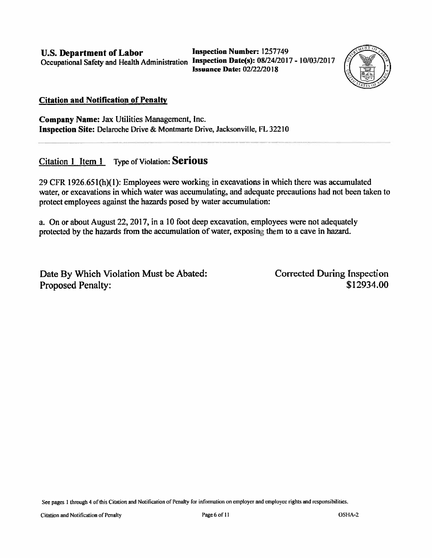**U.S. Department of Labor** Occupational Safety and Health Administration Inspection Date(s): 08/24/2017 - 10/03/2017

**Inspection Number: 1257749 Issuance Date: 02/22/2018** 



#### **Citation and Notification of Penalty**

Company Name: Jax Utilities Management, Inc. Inspection Site: Delaroche Drive & Montmarte Drive, Jacksonville, FL 32210

Citation 1 Item 1 Type of Violation: Serious

29 CFR 1926.651(h)(1): Employees were working in excavations in which there was accumulated water, or excavations in which water was accumulating, and adequate precautions had not been taken to protect employees against the hazards posed by water accumulation:

a. On or about August 22, 2017, in a 10 foot deep excavation, employees were not adequately protected by the hazards from the accumulation of water, exposing them to a cave in hazard.

Date By Which Violation Must be Abated: **Proposed Penalty:** 

**Corrected During Inspection** \$12934.00

See pages 1 through 4 of this Citation and Notification of Penalty for information on employer and employee rights and responsibilities.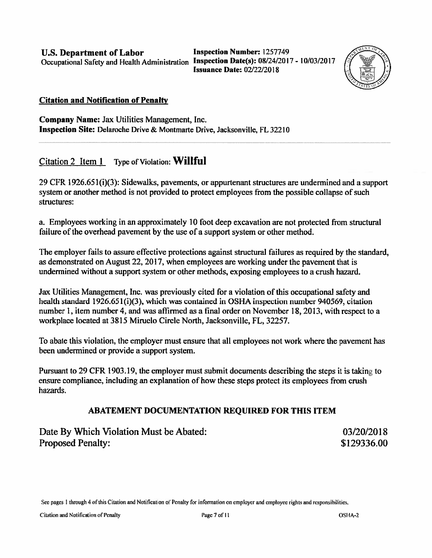U.S. Department of Labor **Inspection Number: 1257749** Occupational Safety and Health Administration Inspection Date(s): 08/24/2017 - 10/03/2017  $\beta$ 

Issuance Date: 02/22/2018



#### Citation and Notification of Penalty

Company Name: Jax Utilities Management, Inc. Inspection Site: Delaroche Drive & Montmarte Drive, Jacksonville, FL 32210

Citation 2 Item  $1$  Type of Violation: Willful

29 CFR 1926.651(i)(3): Sidewalks, pavements, or appurtenant structures are undermined and a support system or another method is not provided to protect employees from the possible collapse of such structures:

a. Fmplovees working in an approximately 10 thot deep excavation are not protected from structural failure of the overhead pavement by the use of a support system or other method.

The employer fails to assure effective protections against structural failures as required by the standard, as demonstrated on August 22. 2017, when employees are working under the pavemen<sup>t</sup> that is undermined without <sup>a</sup> suppor<sup>t</sup> system or other methods, exposing employees to <sup>a</sup> crush hazard.

Jax Utilities Management, Inc. was previously cited for a violation of this occupational safety and health standard  $1926.651(i)(3)$ , which was contained in OSHA inspection number 940569, citation number 1, item number 4, and was affirmed as a final order on November 18, 2013, with respect to a workplace located at 3815 Miruelo Circle North, Jacksonville. FL. 32257.

To abate this violation, the employer must ensure that all employees not work where the pavement has been undermined or provide a support system.

Pursuant to 29 CFR 1903.19, the employer must submit documents describing the steps it is taking to ensure compliance, including an explanation of how these steps protect its employees from crush hazards.

### ABATEMENT DOCUMENTATION REQUIRED FOR THIS ITEM

Date By Which Violation Must be Abated: 03/20/2018 Proposed Penalty:  $$129336.00$ 

See pages 1 through 4 of this Citation and Notification of Penalty for information on employer and employee rights and responsibilities.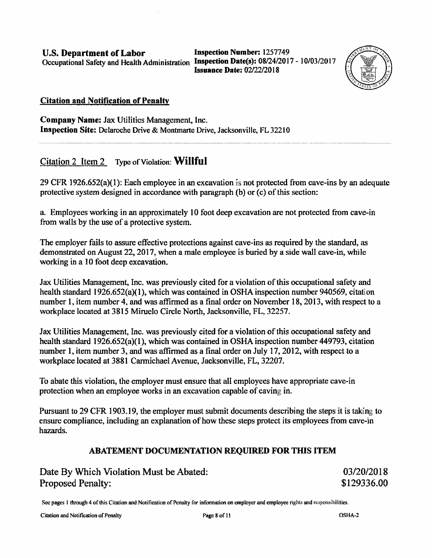U.S. Department of Labor Inspection Number: 1257749 Occupational Safety and Health Administration Inspection Date(s): 08/24/2017 - 10/03/2017

Issuance Date: 02/22/20 18



#### Citation and Notification of Penalty

Company Name: Jax Utilities Management, Inc. Inspection Site: Delaroche Drive & Montmarte Drive, Jacksonville, FL 32210

Citation 2 Item 2 Type of Violation: Willful

29 CFR 1926.652(a)(1): Each employee in an excavation is not protected from cave-ins by an adequate protective system designed in accordance with paragraph (h) or (c) of this section:

a. Employees working in an approximately 10 foot deep excavation are not protected from cave-in from walls by the use of a protective system.

The employer fails to assure effective protections against cave-ins as required by the standard, as demonstrated on August 22, 2017, when a male employee is buried by a side wall cave-in, while working in a 10 foot deep excavation.

Jax Utilities Management, Inc. was previously cited br <sup>a</sup> violation of this occupational safety and health standard 1926.652(a)(1), which was contained in OSHA inspection number 940569, citation number 1, item number 4, and was affirmed as a final order on November 18, 2013, with respect to a workplace located at 3815 Miruelo Circle North, Jacksonville, FL, 32257.

Jax Utilities Management, Inc. was previously cited for <sup>a</sup> violation of this occupational safety and health standard 1926.652(a)(1), which was contained in OSFIA inspection number 449793, citation number 1, item number 3, and was affirmed as a final order on July 17, 2012, with respect to a workplace located at 3881 Carmichael Avenue, Jacksonville, FL, 32207.

To abate this violation, the employer must ensure that all employees have appropriate cave-in protection when an employee works in an excavation capable of caving in.

Pursuant to 29 CFR 1903.19. the employer must submit documents describing the steps it is taking to ensure compliance, including an explanation of how these steps protect its employees from cave-in hazards.

### ABATEMENT DOCUMENTATION REQUIRED FOR THIS ITEM

Date By Which Violation Must be Abated: 03/20/2018 Proposed Penalty: \$129336.00

See pages I through 4 of this Citation and Notification of Penalty for information on employer and employee rights and responsibilities.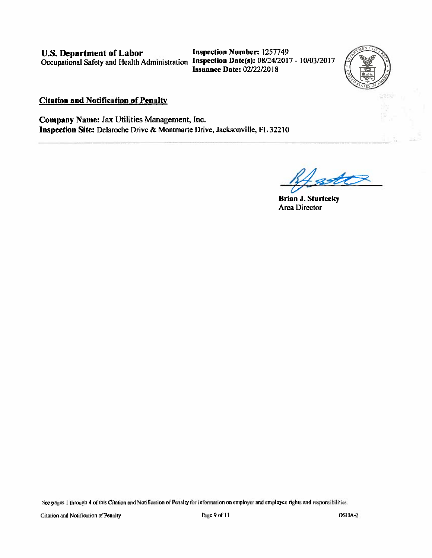**U.S. Department of Labor** Occupational Safety and Health Administration Inspection Date(s): 08/24/2017 - 10/03/2017

**Inspection Number: 1257749 Issuance Date: 02/22/2018** 



#### **Citation and Notification of Penalty**

Company Name: Jax Utilities Management, Inc. Inspection Site: Delaroche Drive & Montmarte Drive, Jacksonville, FL 32210

**Brian J. Sturtecky** Area Director

See pages 1 through 4 of this Citation and Notification of Penalty for information on employer and employee rights and responsibilities.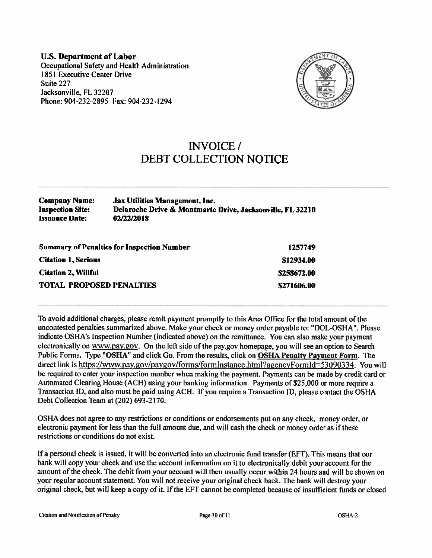**U.S. Department of Labor** Occupational Safety and Health Administration 1851 Executive Center Drive Suite 227 Jacksonville, FL 32207 Phone: 904-232-2895 Fax: 904-232-1294



## **INVOICE**/ **DEBT COLLECTION NOTICE**

| <b>Company Name:</b>    | <b>Jax Utilities Management, Inc.</b>                     |
|-------------------------|-----------------------------------------------------------|
| <b>Inspection Site:</b> | Delaroche Drive & Montmarte Drive, Jacksonville, FL 32210 |
| <b>Issuance Date:</b>   | 02/22/2018                                                |

| <b>Summary of Penalties for Inspection Number</b> | 1257749     |
|---------------------------------------------------|-------------|
| <b>Citation 1, Serious</b>                        | \$12934.00  |
| <b>Citation 2, Willful</b>                        | \$258672.00 |
| <b>TOTAL PROPOSED PENALTIES</b>                   | \$271606.00 |

To avoid additional charges, please remit payment promptly to this Area Office for the total amount of the uncontested penalties summarized above. Make your check or money order payable to: "DOL-OSHA". Please indicate OSHA's Inspection Number (indicated above) on the remittance. You can also make your payment electronically on www.pay.gov. On the left side of the pay.gov homepage, you will see an option to Search Public Forms. Type "OSHA" and click Go. From the results, click on OSHA Penalty Payment Form. The direct link is https://www.pay.gov/paygov/forms/formInstance.html?agencyFormId=53090334. You will be required to enter your inspection number when making the payment. Payments can be made by credit card or Automated Clearing House (ACH) using your banking information. Payments of \$25,000 or more require a Transaction ID, and also must be paid using ACH. If you require a Transaction ID, please contact the OSHA Debt Collection Team at (202) 693-2170.

OSHA does not agree to any restrictions or conditions or endorsements put on any check, money order, or electronic payment for less than the full amount due, and will cash the check or money order as if these restrictions or conditions do not exist.

If a personal check is issued, it will be converted into an electronic fund transfer (EFT). This means that our bank will copy your check and use the account information on it to electronically debit your account for the amount of the check. The debit from your account will then usually occur within 24 hours and will be shown on your regular account statement. You will not receive your original check back. The bank will destroy your original check, but will keep a copy of it. If the EFT cannot be completed because of insufficient funds or closed